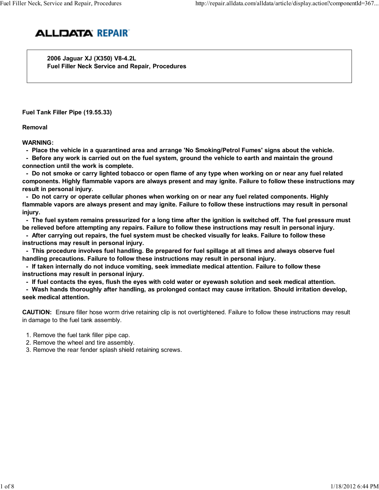

 2006 Jaguar XJ (X350) V8-4.2L Fuel Filler Neck Service and Repair, Procedures

Fuel Tank Filler Pipe (19.55.33)

Removal

WARNING:

- Place the vehicle in a quarantined area and arrange 'No Smoking/Petrol Fumes' signs about the vehicle.

 - Before any work is carried out on the fuel system, ground the vehicle to earth and maintain the ground connection until the work is complete.

 - Do not smoke or carry lighted tobacco or open flame of any type when working on or near any fuel related components. Highly flammable vapors are always present and may ignite. Failure to follow these instructions may result in personal injury.

 - Do not carry or operate cellular phones when working on or near any fuel related components. Highly flammable vapors are always present and may ignite. Failure to follow these instructions may result in personal injury.

 - The fuel system remains pressurized for a long time after the ignition is switched off. The fuel pressure must be relieved before attempting any repairs. Failure to follow these instructions may result in personal injury.

 - After carrying out repairs, the fuel system must be checked visually for leaks. Failure to follow these instructions may result in personal injury.

 - This procedure involves fuel handling. Be prepared for fuel spillage at all times and always observe fuel handling precautions. Failure to follow these instructions may result in personal injury.

 - If taken internally do not induce vomiting, seek immediate medical attention. Failure to follow these instructions may result in personal injury.

- If fuel contacts the eyes, flush the eyes with cold water or eyewash solution and seek medical attention.

 - Wash hands thoroughly after handling, as prolonged contact may cause irritation. Should irritation develop, seek medical attention.

CAUTION: Ensure filler hose worm drive retaining clip is not overtightened. Failure to follow these instructions may result in damage to the fuel tank assembly.

- 1. Remove the fuel tank filler pipe cap.
- 2. Remove the wheel and tire assembly.
- 3. Remove the rear fender splash shield retaining screws.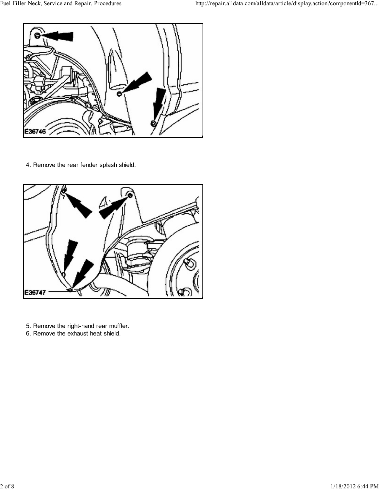

4. Remove the rear fender splash shield.



- 5. Remove the right-hand rear muffler.
- 6. Remove the exhaust heat shield.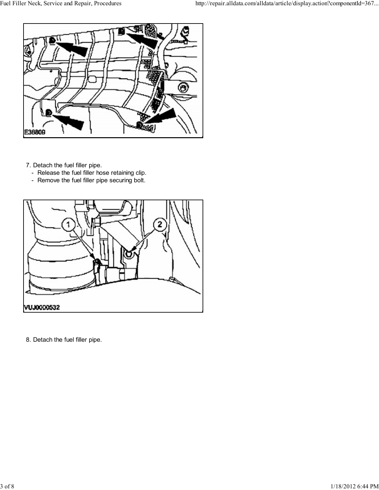

7. Detach the fuel filler pipe.

- Release the fuel filler hose retaining clip.
- Remove the fuel filler pipe securing bolt.



8. Detach the fuel filler pipe.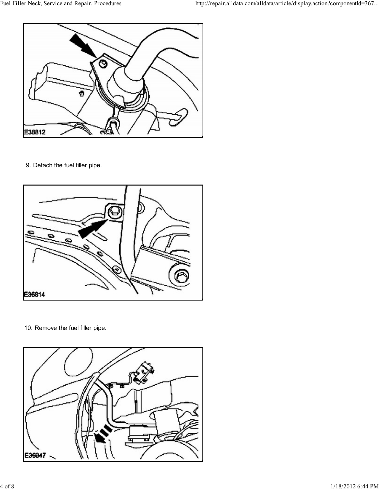

9. Detach the fuel filler pipe.



10. Remove the fuel filler pipe.

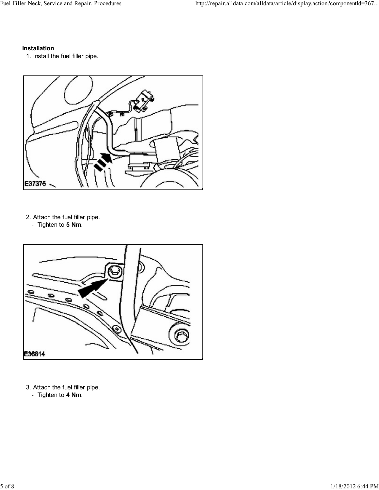## Installation

1. Install the fuel filler pipe.



2. Attach the fuel filler pipe.

- Tighten to 5 Nm.



- 3. Attach the fuel filler pipe.
	- Tighten to 4 Nm.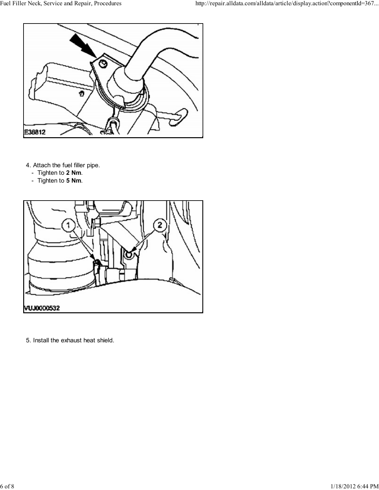

4. Attach the fuel filler pipe.

- Tighten to 2 Nm.
- Tighten to **5 Nm**.



5. Install the exhaust heat shield.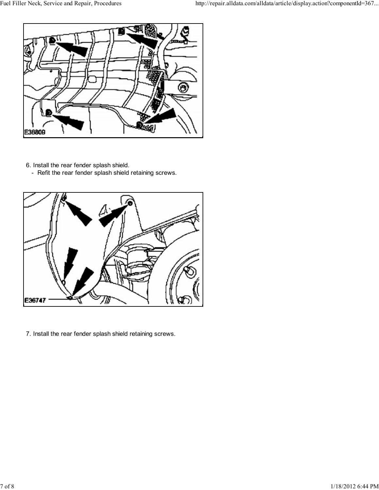

- 6. Install the rear fender splash shield.
	- Refit the rear fender splash shield retaining screws.



7. Install the rear fender splash shield retaining screws.